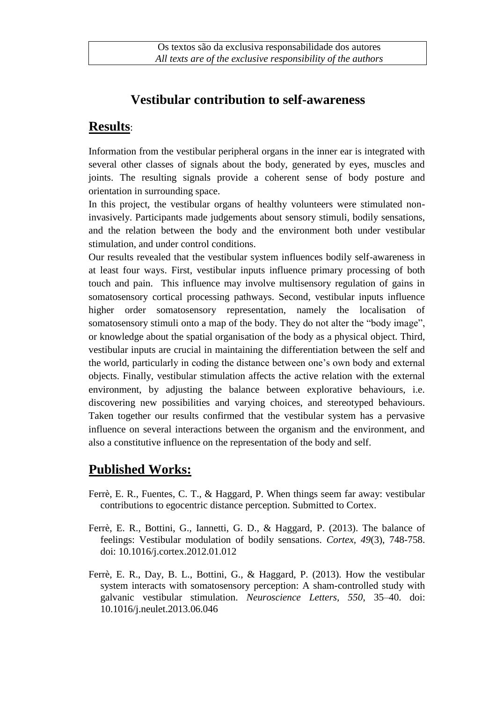# **Vestibular contribution to self-awareness**

### **Results**:

Information from the vestibular peripheral organs in the inner ear is integrated with several other classes of signals about the body, generated by eyes, muscles and joints. The resulting signals provide a coherent sense of body posture and orientation in surrounding space.

In this project, the vestibular organs of healthy volunteers were stimulated noninvasively. Participants made judgements about sensory stimuli, bodily sensations, and the relation between the body and the environment both under vestibular stimulation, and under control conditions.

Our results revealed that the vestibular system influences bodily self-awareness in at least four ways. First, vestibular inputs influence primary processing of both touch and pain. This influence may involve multisensory regulation of gains in somatosensory cortical processing pathways. Second, vestibular inputs influence higher order somatosensory representation, namely the localisation of somatosensory stimuli onto a map of the body. They do not alter the "body image", or knowledge about the spatial organisation of the body as a physical object. Third, vestibular inputs are crucial in maintaining the differentiation between the self and the world, particularly in coding the distance between one's own body and external objects. Finally, vestibular stimulation affects the active relation with the external environment, by adjusting the balance between explorative behaviours, i.e. discovering new possibilities and varying choices, and stereotyped behaviours. Taken together our results confirmed that the vestibular system has a pervasive influence on several interactions between the organism and the environment, and also a constitutive influence on the representation of the body and self.

## **Published Works:**

- Ferrè, E. R., Fuentes, C. T., & Haggard, P. When things seem far away: vestibular contributions to egocentric distance perception. Submitted to Cortex.
- Ferrè, E. R., Bottini, G., Iannetti, G. D., & Haggard, P. (2013). The balance of feelings: Vestibular modulation of bodily sensations. *Cortex, 49*(3), 748-758. doi: 10.1016/j.cortex.2012.01.012
- Ferrè, E. R., Day, B. L., Bottini, G., & Haggard, P. (2013). How the vestibular system interacts with somatosensory perception: A sham-controlled study with galvanic vestibular stimulation. *Neuroscience Letters, 550*, 35–40. doi: 10.1016/j.neulet.2013.06.046